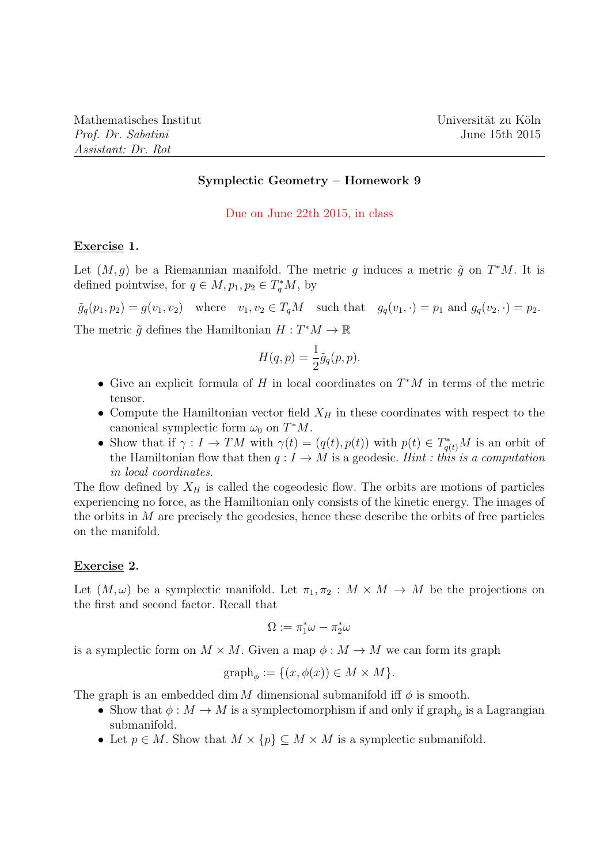## Symplectic Geometry – Homework 9

### Due on June 22th 2015, in class

## Exercise 1.

Let  $(M, g)$  be a Riemannian manifold. The metric g induces a metric  $\tilde{g}$  on  $T^*M$ . It is defined pointwise, for  $q \in M$ ,  $p_1, p_2 \in T_q^*M$ , by

 $\tilde{g}_q(p_1, p_2) = g(v_1, v_2)$  where  $v_1, v_2 \in T_qM$  such that  $g_q(v_1, \cdot) = p_1$  and  $g_q(v_2, \cdot) = p_2$ . The metric  $\tilde{g}$  defines the Hamiltonian  $H: T^*M \to \mathbb{R}$ 

$$
H(q, p) = \frac{1}{2}\tilde{g}_q(p, p).
$$

- Give an explicit formula of H in local coordinates on  $T^*M$  in terms of the metric tensor.
- Compute the Hamiltonian vector field  $X_H$  in these coordinates with respect to the canonical symplectic form  $\omega_0$  on  $T^*M$ .
- Show that if  $\gamma: I \to TM$  with  $\gamma(t) = (q(t), p(t))$  with  $p(t) \in T^*_{q(t)}M$  is an orbit of the Hamiltonian flow that then  $q: I \to M$  is a geodesic. Hint : this is a computation in local coordinates.

The flow defined by  $X_H$  is called the cogeodesic flow. The orbits are motions of particles experiencing no force, as the Hamiltonian only consists of the kinetic energy. The images of the orbits in  $M$  are precisely the geodesics, hence these describe the orbits of free particles on the manifold.

#### Exercise 2.

Let  $(M, \omega)$  be a symplectic manifold. Let  $\pi_1, \pi_2 : M \times M \to M$  be the projections on the first and second factor. Recall that

$$
\Omega:=\pi_1^*\omega-\pi_2^*\omega
$$

is a symplectic form on  $M \times M$ . Given a map  $\phi : M \to M$  we can form its graph

$$
graph_{\phi} := \{(x, \phi(x)) \in M \times M\}.
$$

The graph is an embedded dim M dimensional submanifold iff  $\phi$  is smooth.

- Show that  $\phi: M \to M$  is a symplectomorphism if and only if  $\mathrm{graph}_{\phi}$  is a Lagrangian submanifold.
- Let  $p \in M$ . Show that  $M \times \{p\} \subseteq M \times M$  is a symplectic submanifold.